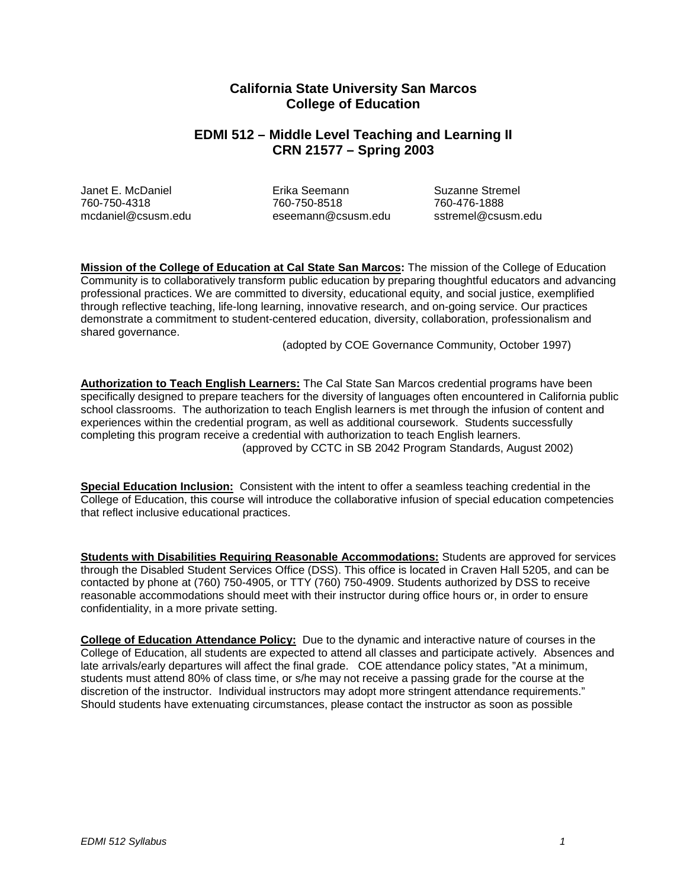# **California State University San Marcos College of Education**

# **EDMI 512 – Middle Level Teaching and Learning II CRN 21577 – Spring 2003**

Janet E. McDaniel Erika Seemann Suzanne Stremel 760-750-4318 760-750-8518 760-476-1888 [mcdaniel@csusm.edu](mailto:mcdaniel@csusm.edu) [eseemann@csusm.edu](mailto:eseemann@csusm.edu) sstremel@csusm.edu

**Mission of the College of Education at Cal State San Marcos:** The mission of the College of Education Community is to collaboratively transform public education by preparing thoughtful educators and advancing professional practices. We are committed to diversity, educational equity, and social justice, exemplified through reflective teaching, life-long learning, innovative research, and on-going service. Our practices demonstrate a commitment to student-centered education, diversity, collaboration, professionalism and shared governance.

(adopted by COE Governance Community, October 1997)

**Authorization to Teach English Learners:** The Cal State San Marcos credential programs have been specifically designed to prepare teachers for the diversity of languages often encountered in California public school classrooms. The authorization to teach English learners is met through the infusion of content and experiences within the credential program, as well as additional coursework. Students successfully completing this program receive a credential with authorization to teach English learners. (approved by CCTC in SB 2042 Program Standards, August 2002)

**Special Education Inclusion:** Consistent with the intent to offer a seamless teaching credential in the College of Education, this course will introduce the collaborative infusion of special education competencies that reflect inclusive educational practices.

**Students with Disabilities Requiring Reasonable Accommodations:** Students are approved for services through the Disabled Student Services Office (DSS). This office is located in Craven Hall 5205, and can be contacted by phone at (760) 750-4905, or TTY (760) 750-4909. Students authorized by DSS to receive reasonable accommodations should meet with their instructor during office hours or, in order to ensure confidentiality, in a more private setting.

**College of Education Attendance Policy:** Due to the dynamic and interactive nature of courses in the College of Education, all students are expected to attend all classes and participate actively. Absences and late arrivals/early departures will affect the final grade. COE attendance policy states, "At a minimum, students must attend 80% of class time, or s/he may not receive a passing grade for the course at the discretion of the instructor. Individual instructors may adopt more stringent attendance requirements." Should students have extenuating circumstances, please contact the instructor as soon as possible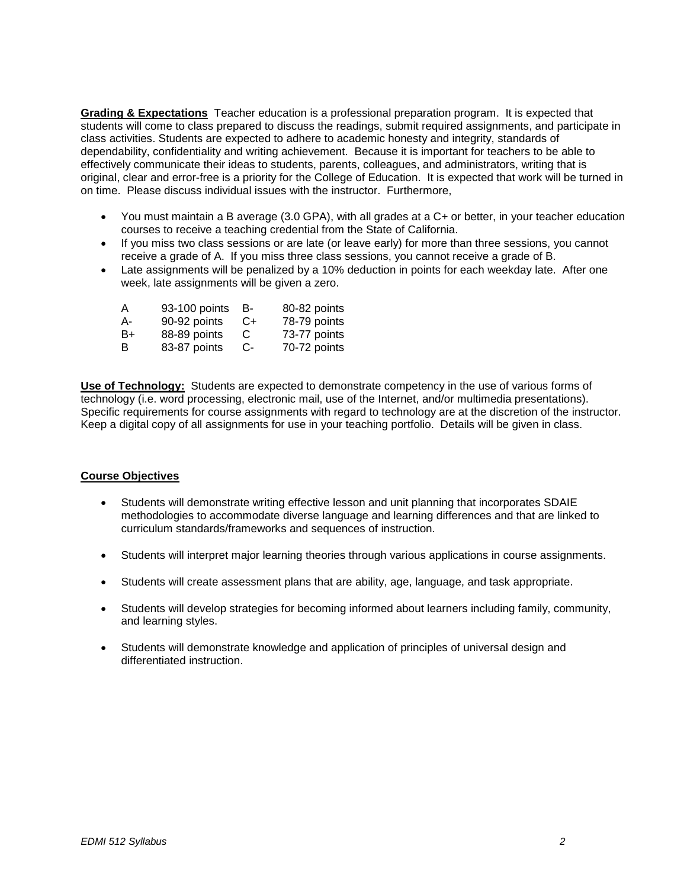**Grading & Expectations** Teacher education is a professional preparation program. It is expected that students will come to class prepared to discuss the readings, submit required assignments, and participate in class activities. Students are expected to adhere to academic honesty and integrity, standards of dependability, confidentiality and writing achievement. Because it is important for teachers to be able to effectively communicate their ideas to students, parents, colleagues, and administrators, writing that is original, clear and error-free is a priority for the College of Education. It is expected that work will be turned in on time. Please discuss individual issues with the instructor. Furthermore,

- You must maintain a B average (3.0 GPA), with all grades at a C+ or better, in your teacher education courses to receive a teaching credential from the State of California.
- If you miss two class sessions or are late (or leave early) for more than three sessions, you cannot receive a grade of A. If you miss three class sessions, you cannot receive a grade of B.
- Late assignments will be penalized by a 10% deduction in points for each weekday late. After one week, late assignments will be given a zero.

| А  | 93-100 points | в- | 80-82 points |
|----|---------------|----|--------------|
| А- | 90-92 points  | C+ | 78-79 points |
| B+ | 88-89 points  | C  | 73-77 points |
| в  | 83-87 points  | C- | 70-72 points |

**Use of Technology:** Students are expected to demonstrate competency in the use of various forms of technology (i.e. word processing, electronic mail, use of the Internet, and/or multimedia presentations). Specific requirements for course assignments with regard to technology are at the discretion of the instructor. Keep a digital copy of all assignments for use in your teaching portfolio. Details will be given in class.

## **Course Objectives**

- Students will demonstrate writing effective lesson and unit planning that incorporates SDAIE methodologies to accommodate diverse language and learning differences and that are linked to curriculum standards/frameworks and sequences of instruction.
- Students will interpret major learning theories through various applications in course assignments.
- Students will create assessment plans that are ability, age, language, and task appropriate.
- Students will develop strategies for becoming informed about learners including family, community, and learning styles.
- Students will demonstrate knowledge and application of principles of universal design and differentiated instruction.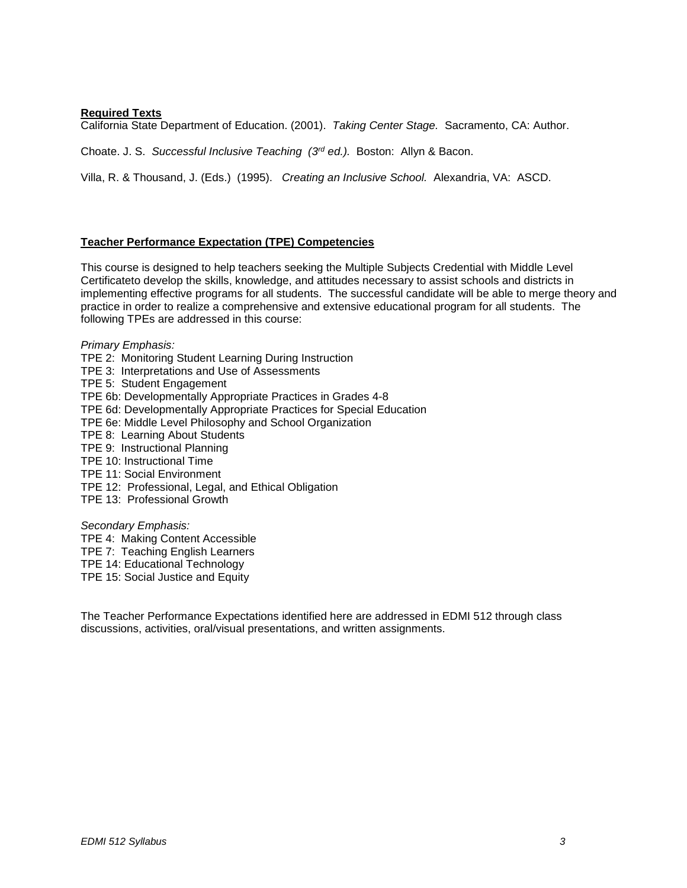### **Required Texts**

California State Department of Education. (2001). *Taking Center Stage.* Sacramento, CA: Author.

Choate. J. S. *Successful Inclusive Teaching (3rd ed.).* Boston: Allyn & Bacon.

Villa, R. & Thousand, J. (Eds.) (1995). *Creating an Inclusive School.* Alexandria, VA: ASCD.

#### **Teacher Performance Expectation (TPE) Competencies**

This course is designed to help teachers seeking the Multiple Subjects Credential with Middle Level Certificateto develop the skills, knowledge, and attitudes necessary to assist schools and districts in implementing effective programs for all students. The successful candidate will be able to merge theory and practice in order to realize a comprehensive and extensive educational program for all students. The following TPEs are addressed in this course:

### *Primary Emphasis:*

- TPE 2: Monitoring Student Learning During Instruction
- TPE 3: Interpretations and Use of Assessments
- TPE 5: Student Engagement
- TPE 6b: Developmentally Appropriate Practices in Grades 4-8
- TPE 6d: Developmentally Appropriate Practices for Special Education
- TPE 6e: Middle Level Philosophy and School Organization
- TPE 8: Learning About Students
- TPE 9: Instructional Planning
- TPE 10: Instructional Time
- TPE 11: Social Environment
- TPE 12: Professional, Legal, and Ethical Obligation
- TPE 13: Professional Growth

#### *Secondary Emphasis:*

- TPE 4: Making Content Accessible
- TPE 7: Teaching English Learners
- TPE 14: Educational Technology
- TPE 15: Social Justice and Equity

The Teacher Performance Expectations identified here are addressed in EDMI 512 through class discussions, activities, oral/visual presentations, and written assignments.